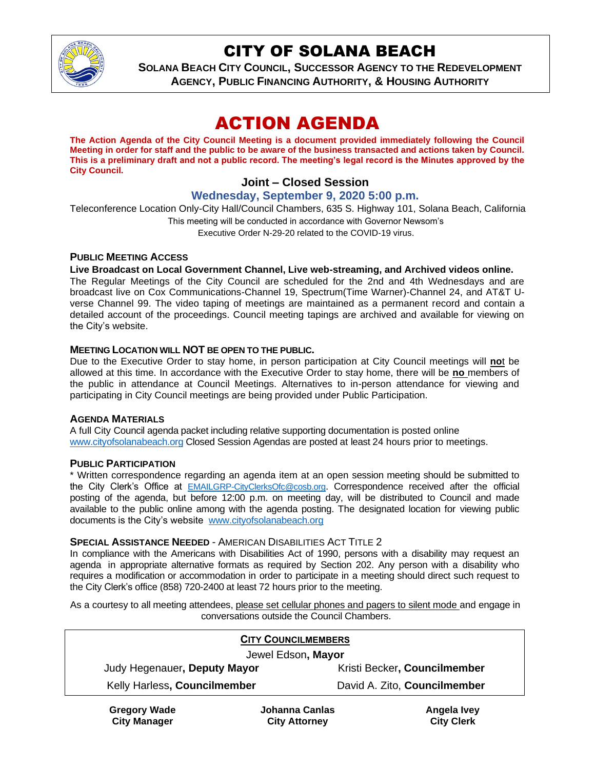

# CITY OF SOLANA BEACH

**SOLANA BEACH CITY COUNCIL, SUCCESSOR AGENCY TO THE REDEVELOPMENT AGENCY, PUBLIC FINANCING AUTHORITY, & HOUSING AUTHORITY**

# ACTION AGENDA

**The Action Agenda of the City Council Meeting is a document provided immediately following the Council Meeting in order for staff and the public to be aware of the business transacted and actions taken by Council. This is a preliminary draft and not a public record. The meeting's legal record is the Minutes approved by the City Council.**

## **Joint – Closed Session**

## **Wednesday, September 9, 2020 5:00 p.m.**

Teleconference Location Only-City Hall/Council Chambers, 635 S. Highway 101, Solana Beach, California This meeting will be conducted in accordance with Governor Newsom's Executive Order N-29-20 related to the COVID-19 virus.

#### **PUBLIC MEETING ACCESS**

#### **Live Broadcast on Local Government Channel, Live web-streaming, and Archived videos online.**

The Regular Meetings of the City Council are scheduled for the 2nd and 4th Wednesdays and are broadcast live on Cox Communications-Channel 19, Spectrum(Time Warner)-Channel 24, and AT&T Uverse Channel 99. The video taping of meetings are maintained as a permanent record and contain a detailed account of the proceedings. Council meeting tapings are archived and available for viewing on the City's website.

#### **MEETING LOCATION WILL NOT BE OPEN TO THE PUBLIC.**

Due to the Executive Order to stay home, in person participation at City Council meetings will **no**t be allowed at this time. In accordance with the Executive Order to stay home, there will be **no** members of the public in attendance at Council Meetings. Alternatives to in-person attendance for viewing and participating in City Council meetings are being provided under Public Participation.

#### **AGENDA MATERIALS**

A full City Council agenda packet including relative supporting documentation is posted online [www.cityofsolanabeach.org](https://urldefense.proofpoint.com/v2/url?u=http-3A__www.cityofsolanabeach.org&d=DwQFAg&c=euGZstcaTDllvimEN8b7jXrwqOf-v5A_CdpgnVfiiMM&r=1XAsCUuqwK_tji2t0s1uIQ&m=wny2RVfZJ2tN24LkqZmkUWNpwL_peNtTZUBlTBZiMM4&s=6ATguqxJUOD7VVtloplAbyuyNaVcEh6Fl4q1iw55lCY&e=) Closed Session Agendas are posted at least 24 hours prior to meetings.

#### **PUBLIC PARTICIPATION**

\* Written correspondence regarding an agenda item at an open session meeting should be submitted to the City Clerk's Office at [EMAILGRP-CityClerksOfc@cosb.org](mailto:EMAILGRP-CityClerksOfc@cosb.org). Correspondence received after the official posting of the agenda, but before 12:00 p.m. on meeting day, will be distributed to Council and made available to the public online among with the agenda posting. The designated location for viewing public documents is the City's website [www.cityofsolanabeach.org](http://www.cityofsolanabeach.org/)

#### **SPECIAL ASSISTANCE NEEDED** - AMERICAN DISABILITIES ACT TITLE 2

In compliance with the Americans with Disabilities Act of 1990, persons with a disability may request an agenda in appropriate alternative formats as required by Section 202. Any person with a disability who requires a modification or accommodation in order to participate in a meeting should direct such request to the City Clerk's office (858) 720-2400 at least 72 hours prior to the meeting.

As a courtesy to all meeting attendees, please set cellular phones and pagers to silent mode and engage in conversations outside the Council Chambers.

| <b>CITY COUNCILMEMBERS</b>   |                              |
|------------------------------|------------------------------|
| Jewel Edson, Mayor           |                              |
| Judy Hegenauer, Deputy Mayor | Kristi Becker, Councilmember |
| Kelly Harless, Councilmember | David A. Zito, Councilmember |
|                              |                              |

**Gregory Wade City Manager**

**Johanna Canlas City Attorney**

**Angela Ivey City Clerk**